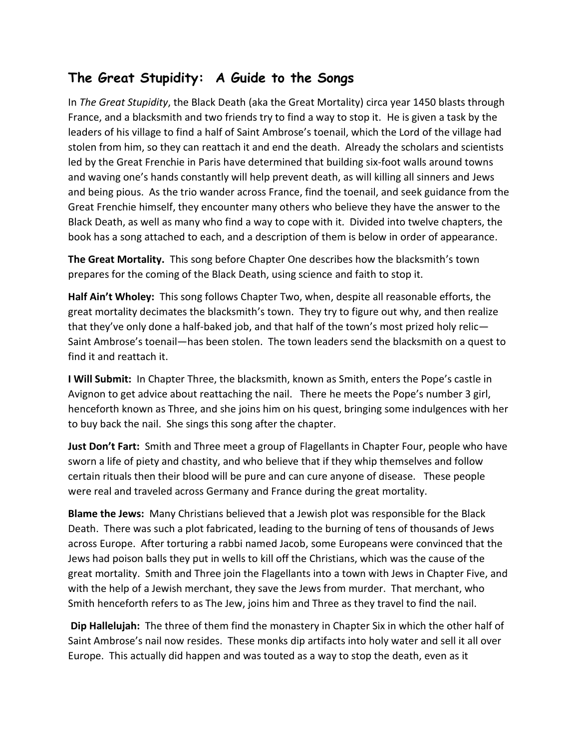## **The Great Stupidity: A Guide to the Songs**

In *The Great Stupidity*, the Black Death (aka the Great Mortality) circa year 1450 blasts through France, and a blacksmith and two friends try to find a way to stop it. He is given a task by the leaders of his village to find a half of Saint Ambrose's toenail, which the Lord of the village had stolen from him, so they can reattach it and end the death. Already the scholars and scientists led by the Great Frenchie in Paris have determined that building six-foot walls around towns and waving one's hands constantly will help prevent death, as will killing all sinners and Jews and being pious. As the trio wander across France, find the toenail, and seek guidance from the Great Frenchie himself, they encounter many others who believe they have the answer to the Black Death, as well as many who find a way to cope with it. Divided into twelve chapters, the book has a song attached to each, and a description of them is below in order of appearance.

**The Great Mortality.** This song before Chapter One describes how the blacksmith's town prepares for the coming of the Black Death, using science and faith to stop it.

**Half Ain't Wholey:** This song follows Chapter Two, when, despite all reasonable efforts, the great mortality decimates the blacksmith's town. They try to figure out why, and then realize that they've only done a half-baked job, and that half of the town's most prized holy relic— Saint Ambrose's toenail—has been stolen. The town leaders send the blacksmith on a quest to find it and reattach it.

**I Will Submit:** In Chapter Three, the blacksmith, known as Smith, enters the Pope's castle in Avignon to get advice about reattaching the nail. There he meets the Pope's number 3 girl, henceforth known as Three, and she joins him on his quest, bringing some indulgences with her to buy back the nail. She sings this song after the chapter.

**Just Don't Fart:** Smith and Three meet a group of Flagellants in Chapter Four, people who have sworn a life of piety and chastity, and who believe that if they whip themselves and follow certain rituals then their blood will be pure and can cure anyone of disease. These people were real and traveled across Germany and France during the great mortality.

**Blame the Jews:** Many Christians believed that a Jewish plot was responsible for the Black Death. There was such a plot fabricated, leading to the burning of tens of thousands of Jews across Europe. After torturing a rabbi named Jacob, some Europeans were convinced that the Jews had poison balls they put in wells to kill off the Christians, which was the cause of the great mortality. Smith and Three join the Flagellants into a town with Jews in Chapter Five, and with the help of a Jewish merchant, they save the Jews from murder. That merchant, who Smith henceforth refers to as The Jew, joins him and Three as they travel to find the nail.

**Dip Hallelujah:** The three of them find the monastery in Chapter Six in which the other half of Saint Ambrose's nail now resides. These monks dip artifacts into holy water and sell it all over Europe. This actually did happen and was touted as a way to stop the death, even as it